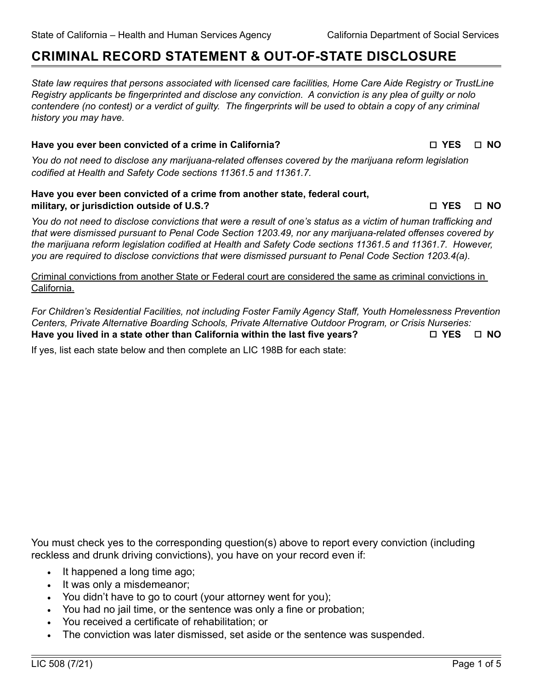# **CRIMINAL RECORD STATEMENT & OUT-OF-STATE DISCLOSURE**

*State law requires that persons associated with licensed care facilities, Home Care Aide Registry or TrustLine Registry applicants be fingerprinted and disclose any conviction. A conviction is any plea of guilty or nolo contendere (no contest) or a verdict of guilty. The fingerprints will be used to obtain a copy of any criminal history you may have.*

### **Have you ever been convicted of a crime in California?** △ **NO** I **YES**  $\Box$  **NO**

*You do not need to disclose any marijuana-related offenses covered by the marijuana reform legislation codified at Health and Safety Code sections 11361.5 and 11361.7.*

## **Have you ever been convicted of a crime from another state, federal court, military, or jurisdiction outside of U.S.?** *n* **175 is a NO**  $\Box$  YES  $\Box$  NO

*You do not need to disclose convictions that were a result of one's status as a victim of human trafficking and that were dismissed pursuant to Penal Code Section 1203.49, nor any marijuana-related offenses covered by the marijuana reform legislation codified at Health and Safety Code sections 11361.5 and 11361.7. However, you are required to disclose convictions that were dismissed pursuant to Penal Code Section 1203.4(a).*

Criminal convictions from another State or Federal court are considered the same as criminal convictions in California.

*For Children's Residential Facilities, not including Foster Family Agency Staff, Youth Homelessness Prevention Centers, Private Alternative Boarding Schools, Private Alternative Outdoor Program, or Crisis Nurseries:* Have you lived in a state other than California within the last five years? □ YES □ NO

If yes, list each state below and then complete an LIC 198B for each state:

You must check yes to the corresponding question(s) above to report every conviction (including reckless and drunk driving convictions), you have on your record even if:

- It happened a long time ago;
- It was only a misdemeanor;
- You didn't have to go to court (your attorney went for you);
- You had no jail time, or the sentence was only a fine or probation;
- You received a certificate of rehabilitation; or
- The conviction was later dismissed, set aside or the sentence was suspended.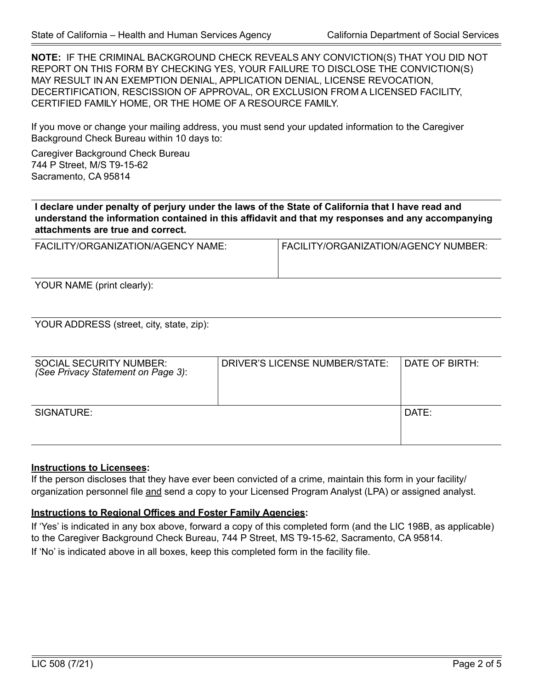**NOTE:** IF THE CRIMINAL BACKGROUND CHECK REVEALS ANY CONVICTION(S) THAT YOU DID NOT REPORT ON THIS FORM BY CHECKING YES, YOUR FAILURE TO DISCLOSE THE CONVICTION(S) MAY RESULT IN AN EXEMPTION DENIAL, APPLICATION DENIAL, LICENSE REVOCATION, DECERTIFICATION, RESCISSION OF APPROVAL, OR EXCLUSION FROM A LICENSED FACILITY, CERTIFIED FAMILY HOME, OR THE HOME OF A RESOURCE FAMILY.

If you move or change your mailing address, you must send your updated information to the Caregiver Background Check Bureau within 10 days to:

Caregiver Background Check Bureau 744 P Street, M/S T9-15-62 Sacramento, CA 95814

**I declare under penalty of perjury under the laws of the State of California that I have read and understand the information contained in this affidavit and that my responses and any accompanying attachments are true and correct.**

| FACILITY/ORGANIZATION/AGENCY NAME: | FACILITY/ORGANIZATION/AGENCY NUMBER: |
|------------------------------------|--------------------------------------|
|                                    |                                      |
|                                    |                                      |

YOUR NAME (print clearly):

YOUR ADDRESS (street, city, state, zip):

| <b>SOCIAL SECURITY NUMBER:</b><br>(See Privacy Statement on Page 3): | DRIVER'S LICENSE NUMBER/STATE: | I DATE OF BIRTH: I |
|----------------------------------------------------------------------|--------------------------------|--------------------|
| SIGNATURE:                                                           |                                | $DATF^+$           |

#### **Instructions to Licensees:**

If the person discloses that they have ever been convicted of a crime, maintain this form in your facility/ organization personnel file and send a copy to your Licensed Program Analyst (LPA) or assigned analyst.

## **Instructions to Regional Offices and Foster Family Agencies:**

If 'Yes' is indicated in any box above, forward a copy of this completed form (and the LIC 198B, as applicable) to the Caregiver Background Check Bureau, 744 P Street, MS T9-15-62, Sacramento, CA 95814. If 'No' is indicated above in all boxes, keep this completed form in the facility file.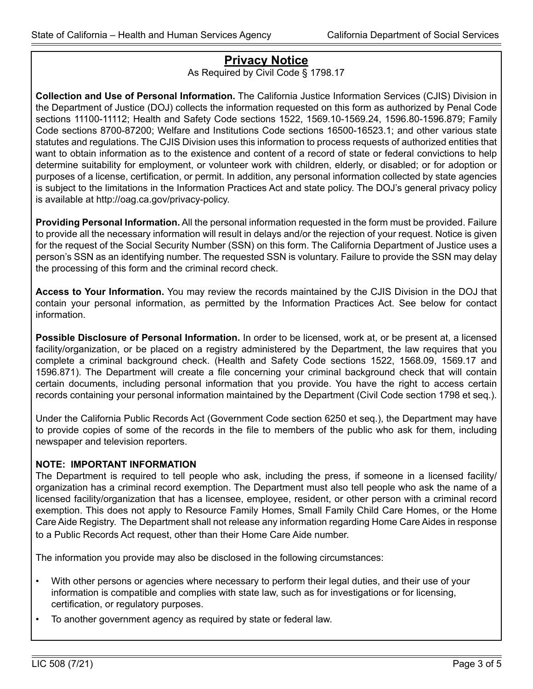# **Privacy Notice**

As Required by Civil Code § 1798.17

**Collection and Use of Personal Information.** The California Justice Information Services (CJIS) Division in the Department of Justice (DOJ) collects the information requested on this form as authorized by Penal Code sections 11100-11112; Health and Safety Code sections 1522, 1569.10-1569.24, 1596.80-1596.879; Family Code sections 8700-87200; Welfare and Institutions Code sections 16500-16523.1; and other various state statutes and regulations. The CJIS Division uses this information to process requests of authorized entities that want to obtain information as to the existence and content of a record of state or federal convictions to help determine suitability for employment, or volunteer work with children, elderly, or disabled; or for adoption or purposes of a license, certification, or permit. In addition, any personal information collected by state agencies is subject to the limitations in the Information Practices Act and state policy. The DOJ's general privacy policy is available at http://oag.ca.gov/privacy-policy.

**Providing Personal Information.** All the personal information requested in the form must be provided. Failure to provide all the necessary information will result in delays and/or the rejection of your request. Notice is given for the request of the Social Security Number (SSN) on this form. The California Department of Justice uses a person's SSN as an identifying number. The requested SSN is voluntary. Failure to provide the SSN may delay the processing of this form and the criminal record check.

**Access to Your Information.** You may review the records maintained by the CJIS Division in the DOJ that contain your personal information, as permitted by the Information Practices Act. See below for contact information.

**Possible Disclosure of Personal Information.** In order to be licensed, work at, or be present at, a licensed facility/organization, or be placed on a registry administered by the Department, the law requires that you complete a criminal background check. (Health and Safety Code sections 1522, 1568.09, 1569.17 and 1596.871). The Department will create a file concerning your criminal background check that will contain certain documents, including personal information that you provide. You have the right to access certain records containing your personal information maintained by the Department (Civil Code section 1798 et seq.).

Under the California Public Records Act (Government Code section 6250 et seq.), the Department may have to provide copies of some of the records in the file to members of the public who ask for them, including newspaper and television reporters.

# **NOTE: IMPORTANT INFORMATION**

The Department is required to tell people who ask, including the press, if someone in a licensed facility/ organization has a criminal record exemption. The Department must also tell people who ask the name of a licensed facility/organization that has a licensee, employee, resident, or other person with a criminal record exemption. This does not apply to Resource Family Homes, Small Family Child Care Homes, or the Home Care Aide Registry. The Department shall not release any information regarding Home Care Aides in response to a Public Records Act request, other than their Home Care Aide number.

The information you provide may also be disclosed in the following circumstances:

- With other persons or agencies where necessary to perform their legal duties, and their use of your information is compatible and complies with state law, such as for investigations or for licensing, certification, or regulatory purposes.
- To another government agency as required by state or federal law.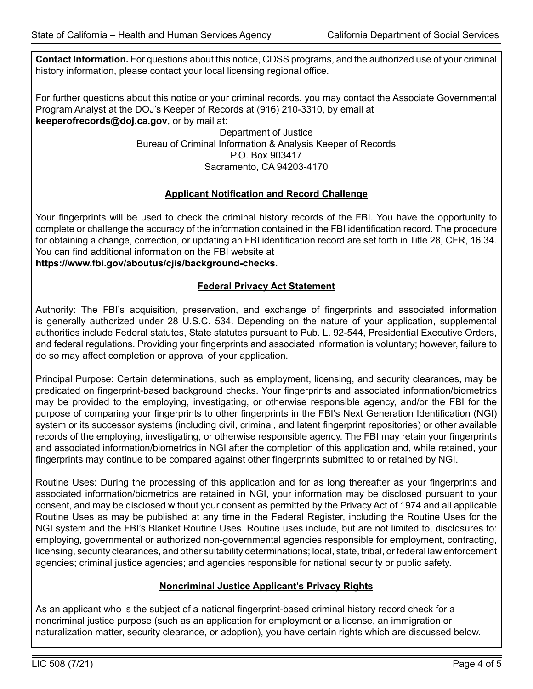**Contact Information.** For questions about this notice, CDSS programs, and the authorized use of your criminal history information, please contact your local licensing regional office.

For further questions about this notice or your criminal records, you may contact the Associate Governmental Program Analyst at the DOJ's Keeper of Records at (916) 210-3310, by email at **keeperofrecords@doj.ca.gov**, or by mail at:

> Department of Justice Bureau of Criminal Information & Analysis Keeper of Records P.O. Box 903417 Sacramento, CA 94203-4170

# **Applicant Notification and Record Challenge**

Your fingerprints will be used to check the criminal history records of the FBI. You have the opportunity to complete or challenge the accuracy of the information contained in the FBI identification record. The procedure for obtaining a change, correction, or updating an FBI identification record are set forth in Title 28, CFR, 16.34. You can find additional information on the FBI website at

**https://www.fbi.gov/aboutus/cjis/background-checks.**

## **Federal Privacy Act Statement**

Authority: The FBI's acquisition, preservation, and exchange of fingerprints and associated information is generally authorized under 28 U.S.C. 534. Depending on the nature of your application, supplemental authorities include Federal statutes, State statutes pursuant to Pub. L. 92-544, Presidential Executive Orders, and federal regulations. Providing your fingerprints and associated information is voluntary; however, failure to do so may affect completion or approval of your application.

Principal Purpose: Certain determinations, such as employment, licensing, and security clearances, may be predicated on fingerprint-based background checks. Your fingerprints and associated information/biometrics may be provided to the employing, investigating, or otherwise responsible agency, and/or the FBI for the purpose of comparing your fingerprints to other fingerprints in the FBI's Next Generation Identification (NGI) system or its successor systems (including civil, criminal, and latent fingerprint repositories) or other available records of the employing, investigating, or otherwise responsible agency. The FBI may retain your fingerprints and associated information/biometrics in NGI after the completion of this application and, while retained, your fingerprints may continue to be compared against other fingerprints submitted to or retained by NGI.

Routine Uses: During the processing of this application and for as long thereafter as your fingerprints and associated information/biometrics are retained in NGI, your information may be disclosed pursuant to your consent, and may be disclosed without your consent as permitted by the Privacy Act of 1974 and all applicable Routine Uses as may be published at any time in the Federal Register, including the Routine Uses for the NGI system and the FBI's Blanket Routine Uses. Routine uses include, but are not limited to, disclosures to: employing, governmental or authorized non-governmental agencies responsible for employment, contracting, licensing, security clearances, and other suitability determinations; local, state, tribal, or federal law enforcement agencies; criminal justice agencies; and agencies responsible for national security or public safety.

# **Noncriminal Justice Applicant's Privacy Rights**

As an applicant who is the subject of a national fingerprint-based criminal history record check for a noncriminal justice purpose (such as an application for employment or a license, an immigration or naturalization matter, security clearance, or adoption), you have certain rights which are discussed below.